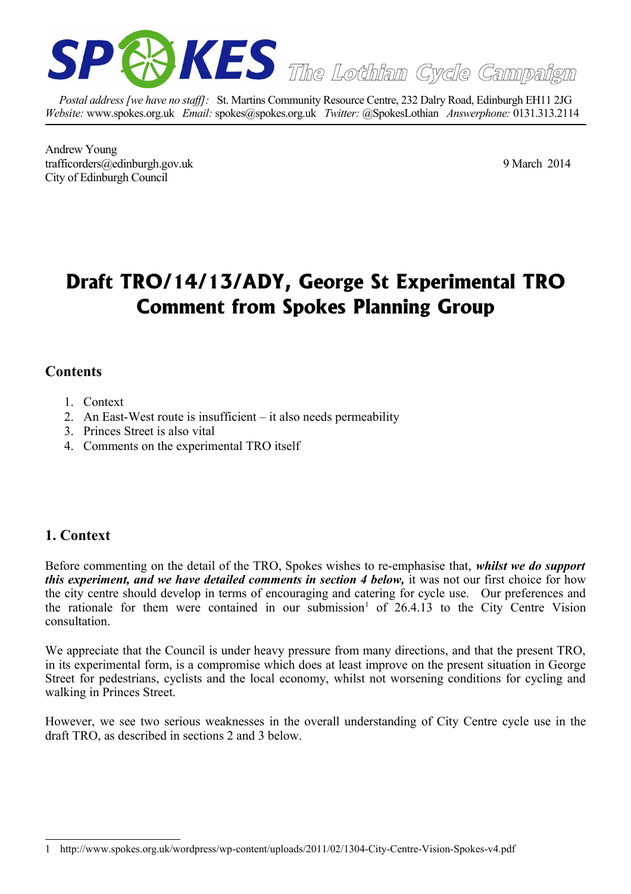

*Postal address [we have no staff]:* St. Martins Community Resource Centre, 232 Dalry Road, Edinburgh EH11 2JG *Website:* www.spokes.org.uk *Email:* spokes@spokes.org.uk *Twitter:* @SpokesLothian *Answerphone:* 0131.313.2114

Andrew Young trafficorders@edinburgh.gov.uk 9 March 2014 City of Edinburgh Council

# **Draft TRO/14/13/ADY, George St Experimental TRO Comment from Spokes Planning Group**

### **Contents**

- 1. Context
- 2. An East-West route is insufficient it also needs permeability
- 3. Princes Street is also vital
- 4. Comments on the experimental TRO itself

## **1. Context**

Before commenting on the detail of the TRO, Spokes wishes to re-emphasise that, *whilst we do support this experiment, and we have detailed comments in section 4 below,* it was not our first choice for how the city centre should develop in terms of encouraging and catering for cycle use. Our preferences and the rationale for them were contained in our submission<sup>[1](#page-0-0)</sup> of  $26.4.13$  to the City Centre Vision consultation.

We appreciate that the Council is under heavy pressure from many directions, and that the present TRO, in its experimental form, is a compromise which does at least improve on the present situation in George Street for pedestrians, cyclists and the local economy, whilst not worsening conditions for cycling and walking in Princes Street.

However, we see two serious weaknesses in the overall understanding of City Centre cycle use in the draft TRO, as described in sections 2 and 3 below.

<span id="page-0-0"></span><sup>1</sup> http://www.spokes.org.uk/wordpress/wp-content/uploads/2011/02/1304-City-Centre-Vision-Spokes-v4.pdf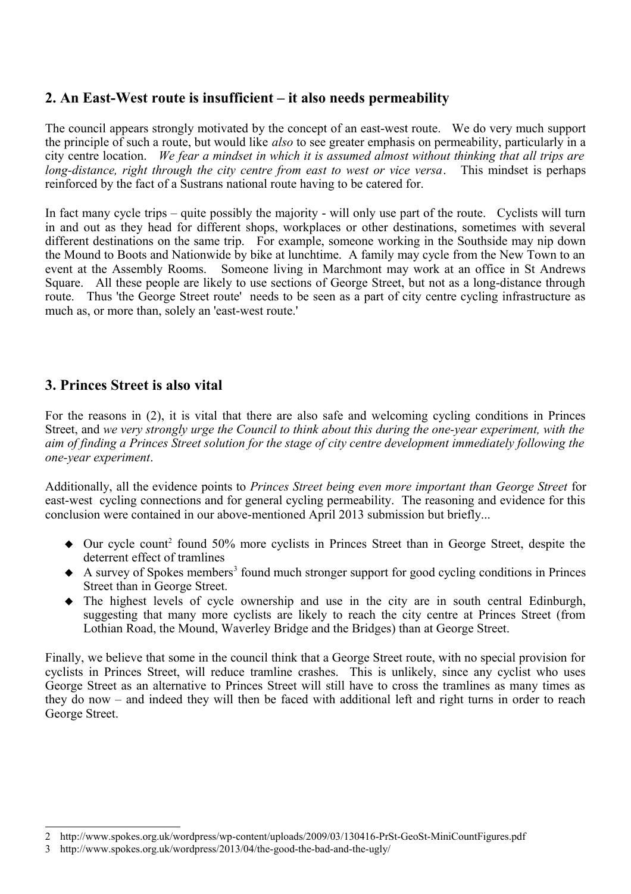### **2. An East-West route is insufficient – it also needs permeability**

The council appears strongly motivated by the concept of an east-west route. We do very much support the principle of such a route, but would like *also* to see greater emphasis on permeability, particularly in a city centre location. *We fear a mindset in which it is assumed almost without thinking that all trips are long-distance, right through the city centre from east to west or vice versa*. This mindset is perhaps reinforced by the fact of a Sustrans national route having to be catered for.

In fact many cycle trips – quite possibly the majority - will only use part of the route. Cyclists will turn in and out as they head for different shops, workplaces or other destinations, sometimes with several different destinations on the same trip. For example, someone working in the Southside may nip down the Mound to Boots and Nationwide by bike at lunchtime. A family may cycle from the New Town to an event at the Assembly Rooms. Someone living in Marchmont may work at an office in St Andrews Square. All these people are likely to use sections of George Street, but not as a long-distance through route. Thus 'the George Street route' needs to be seen as a part of city centre cycling infrastructure as much as, or more than, solely an 'east-west route.'

### **3. Princes Street is also vital**

For the reasons in (2), it is vital that there are also safe and welcoming cycling conditions in Princes Street, and *we very strongly urge the Council to think about this during the one-year experiment, with the aim of finding a Princes Street solution for the stage of city centre development immediately following the one-year experiment*.

Additionally, all the evidence points to *Princes Street being even more important than George Street* for east-west cycling connections and for general cycling permeability. The reasoning and evidence for this conclusion were contained in our above-mentioned April 2013 submission but briefly...

- Our cycle count<sup>[2](#page-1-0)</sup> found 50% more cyclists in Princes Street than in George Street, despite the deterrent effect of tramlines
- ◆ A survey of Spokes members<sup>[3](#page-1-1)</sup> found much stronger support for good cycling conditions in Princes Street than in George Street.
- The highest levels of cycle ownership and use in the city are in south central Edinburgh, suggesting that many more cyclists are likely to reach the city centre at Princes Street (from Lothian Road, the Mound, Waverley Bridge and the Bridges) than at George Street.

Finally, we believe that some in the council think that a George Street route, with no special provision for cyclists in Princes Street, will reduce tramline crashes. This is unlikely, since any cyclist who uses George Street as an alternative to Princes Street will still have to cross the tramlines as many times as they do now – and indeed they will then be faced with additional left and right turns in order to reach George Street.

<span id="page-1-0"></span><sup>2</sup> http://www.spokes.org.uk/wordpress/wp-content/uploads/2009/03/130416-PrSt-GeoSt-MiniCountFigures.pdf

<span id="page-1-1"></span><sup>3</sup> http://www.spokes.org.uk/wordpress/2013/04/the-good-the-bad-and-the-ugly/